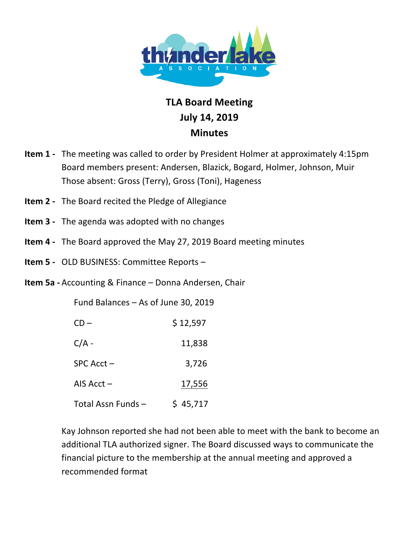

## **TLA!Board Meeting July 14,!2019 Minutes**

- **Item 1** The meeting was called to order by President Holmer at approximately 4:15pm Board members present: Andersen, Blazick, Bogard, Holmer, Johnson, Muir Those absent: Gross (Terry), Gross (Toni), Hageness
- **Item 2** The Board recited the Pledge of Allegiance
- **Item 3** The agenda was adopted with no changes
- **Item 4** The Board approved the May 27, 2019 Board meeting minutes
- **Item 5 OLD BUSINESS: Committee Reports**
- **Item 5a Accounting & Finance Donna Andersen, Chair**

Fund Balances – As of June 30, 2019

| $CD -$            | \$12,597 |
|-------------------|----------|
| $C/A -$           | 11,838   |
| $SPC$ Acct $-$    | 3,726    |
| AIS $Acct -$      | 17,556   |
| Total Assn Funds- | \$45,717 |

Kay Johnson reported she had not been able to meet with the bank to become an additional TLA authorized signer. The Board discussed ways to communicate the financial picture to the membership at the annual meeting and approved a recommended format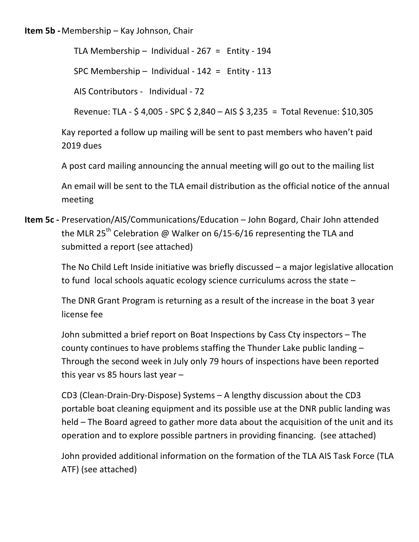## **Item 5b - Membership – Kay Johnson, Chair**

TLA Membership – Individual -  $267 =$  Entity - 194

SPC Membership – Individual -  $142 =$  Entity -  $113$ 

AIS Contributors - Individual - 72

Revenue: TLA - \$ 4,005 - SPC \$ 2,840 – AIS \$ 3,235 = Total Revenue: \$10,305

Kay reported a follow up mailing will be sent to past members who haven't paid 2019 dues

A post card mailing announcing the annual meeting will go out to the mailing list

An email will be sent to the TLA email distribution as the official notice of the annual meeting

**Item 5c - Preservation/AIS/Communications/Education – John Bogard, Chair John attended** the MLR 25<sup>th</sup> Celebration @ Walker on 6/15-6/16 representing the TLA and submitted a report (see attached)

> The No Child Left Inside initiative was briefly discussed – a major legislative allocation to fund local schools aquatic ecology science curriculums across the state  $-$

The DNR Grant Program is returning as a result of the increase in the boat 3 year license fee

John submitted a brief report on Boat Inspections by Cass Cty inspectors – The county continues to have problems staffing the Thunder Lake public landing  $-$ Through the second week in July only 79 hours of inspections have been reported this year vs 85 hours last year  $-$ 

CD3 (Clean-Drain-Dry-Dispose) Systems – A lengthy discussion about the CD3 portable boat cleaning equipment and its possible use at the DNR public landing was held – The Board agreed to gather more data about the acquisition of the unit and its operation and to explore possible partners in providing financing. (see attached)

John provided additional information on the formation of the TLA AIS Task Force (TLA ATF) (see attached)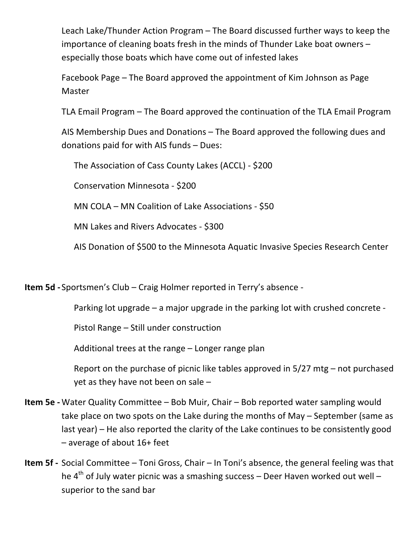Leach Lake/Thunder Action Program – The Board discussed further ways to keep the importance of cleaning boats fresh in the minds of Thunder Lake boat owners  $$ especially those boats which have come out of infested lakes

Facebook Page – The Board approved the appointment of Kim Johnson as Page Master

TLA Email Program – The Board approved the continuation of the TLA Email Program

AIS Membership Dues and Donations – The Board approved the following dues and donations paid for with AIS funds  $-$  Dues:

The Association of Cass County Lakes (ACCL) - \$200

Conservation Minnesota - \$200

MN COLA – MN Coalition of Lake Associations -  $$50$ 

MN Lakes and Rivers Advocates - \$300

AIS Donation of \$500 to the Minnesota Aquatic Invasive Species Research Center

**Item 5d** - Sportsmen's Club – Craig Holmer reported in Terry's absence -

Parking lot upgrade – a major upgrade in the parking lot with crushed concrete -

Pistol Range – Still under construction

Additional trees at the range  $-$  Longer range plan

Report on the purchase of picnic like tables approved in  $5/27$  mtg – not purchased yet as they have not been on sale  $-$ 

- **Item 5e -** Water Quality Committee Bob Muir, Chair Bob reported water sampling would take place on two spots on the Lake during the months of May – September (same as last year) – He also reported the clarity of the Lake continues to be consistently good  $-$  average of about 16+ feet
- **Item 5f -** Social Committee Toni Gross, Chair In Toni's absence, the general feeling was that he 4<sup>th</sup> of July water picnic was a smashing success – Deer Haven worked out well – superior to the sand bar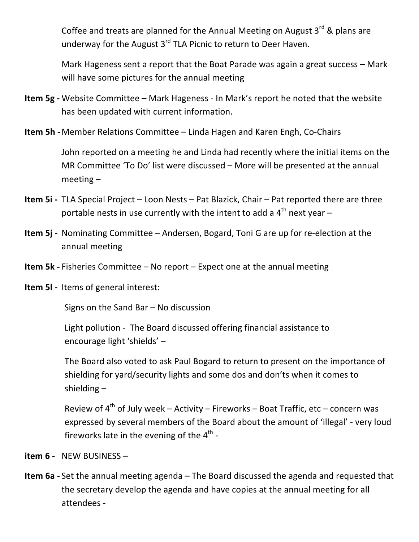Coffee and treats are planned for the Annual Meeting on August  $3<sup>rd</sup>$  & plans are underway for the August  $3<sup>rd</sup>$  TLA Picnic to return to Deer Haven.

Mark Hageness sent a report that the Boat Parade was again a great success – Mark will have some pictures for the annual meeting

- **Item 5g -** Website Committee Mark Hageness In Mark's report he noted that the website has been updated with current information.
- **Item 5h** Member Relations Committee Linda Hagen and Karen Engh, Co-Chairs

John reported on a meeting he and Linda had recently where the initial items on the MR Committee 'To Do' list were discussed – More will be presented at the annual  $meeting -$ 

- **Item 5i** TLA Special Project Loon Nests Pat Blazick, Chair Pat reported there are three portable nests in use currently with the intent to add a  $4<sup>th</sup>$  next year –
- **Item 5j** Nominating Committee Andersen, Bogard, Toni G are up for re-election at the annual meeting
- **Item 5k** Fisheries Committee No report Expect one at the annual meeting
- **Item 5I** Items of general interest:

 $Signs$  on the Sand Bar – No discussion

Light pollution - The Board discussed offering financial assistance to encourage light 'shields' -

The Board also voted to ask Paul Bogard to return to present on the importance of shielding for yard/security lights and some dos and don'ts when it comes to shielding  $-$ 

Review of  $4^{th}$  of July week – Activity – Fireworks – Boat Traffic, etc – concern was expressed by several members of the Board about the amount of 'illegal' - very loud fireworks late in the evening of the  $4<sup>th</sup>$  -

- **item 6 NEW BUSINESS**
- **Item 6a** Set the annual meeting agenda The Board discussed the agenda and requested that the secretary develop the agenda and have copies at the annual meeting for all attendees -